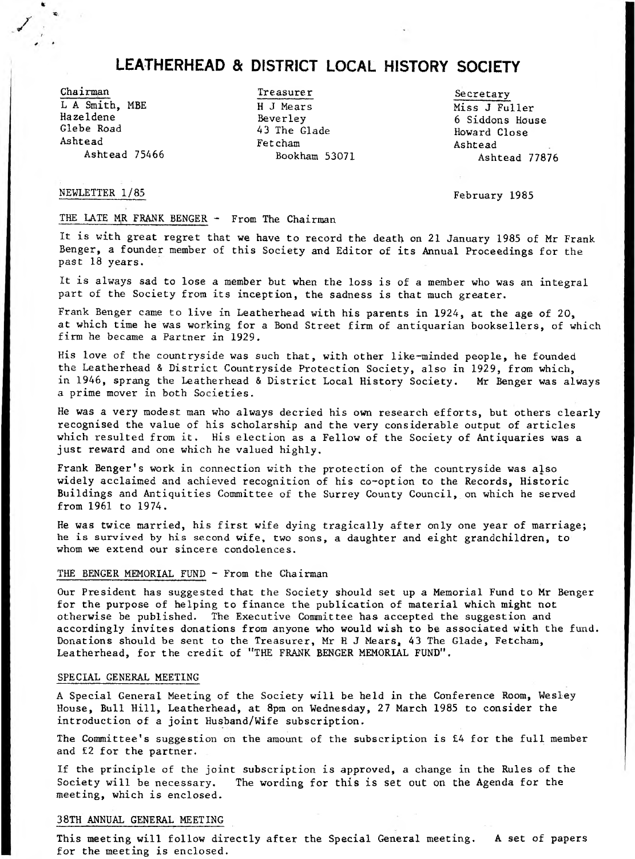# **LEATHERHEAD & DISTRICT LOCAL HISTORY SOCIETY**

Chairman L A Smith, MBE Hazeldene Glebe Road Ashtead Ashtead 75466

Treasurer H J Hears Beverley 43 The Glade Fet cham Bookham 53071

Secretary Miss J Fuller 6 Siddons House Howard Close Ashtead As htead 77876

February 1985

NEWLETTER 1/85

THE LATE MR FRANK BENGER  $-$  From The Chairman

It is with great regret that we have to record the death on 21 January 1985 of Mr Frank Benger, a founder member of this Society and Editor of its Annual Proceedings for the past 18 years.

It is always sad to lose a member but when the loss is of a member who was an integral part of the Society from its inception, the sadness is that much greater.

Frank Benger came to live in Leatherhead with his parents in 1924, at the age of 20, at which time he was working for a Bond Street firm of antiquarian booksellers, of which firm he became a Partner in 1929.

His love of the countryside was such that, with other like-minded people, he founded the Leatherhead & District Countryside Protection Society, also in 1929, from which, in 1946, sprang the Leatherhead & District Local History Society. Mr Benger was always a prime mover in both Societies.

He was a very modest man who always decried his own research efforts, but others clearly recognised the value of his scholarship and the very considerable output of articles which resulted from it. His election as a Fellow of the Society of Antiquaries was a just reward and one which he valued highly.

Frank Benger's work in connection with the protection of the countryside was also widely acclaimed and achieved recognition of his co-option to the Records, Historic Buildings and Antiquities Committee of the Surrey County Council, on which he served from 1961 to 1974.

He was twice married, his first wife dying tragically after only one year of marriage; he is survived by his second wife, two sons, a daughter and eight grandchildren, to whom we extend our sincere condolences.

#### THE BENGER MEMORIAL FUND - From the Chairman

Our President has suggested that the Society should set up a Memorial Fund to Mr Benger for the purpose of helping to finance the publication of material which might not otherwise be published. The Executive Committee has accepted the suggestion and accordingly invites donations from anyone who would wish to be associated with the fund. Donations should be sent to the Treasurer, Mr H J Mears, 43 The Glade, Fetcham, Leatherhead, for the credit of "THE FRANK BENGER MEMORIAL FUND".

#### SPECIAL GENERAL MEETING

A Special General Meeting of the Society will be held in the Conference Room, Wesley House, Bull Hill, Leatherhead, at 8pm on Wednesday, 27 March 1985 to consider the introduction of a joint Husband/Wife subscription.

The Committee's suggestion on the amount of the subscription is £4 for the full member and £2 for the partner.

If the principle of the joint subscription is approved, a change in the Rules of the Society will be necessary. The wording for this is set out on the Agenda for the meeting, which is enclosed.

#### 38TH ANNUAL GENERAL MEETING

This meeting will follow directly after the Special General meeting. A set of papers for the meeting is enclosed.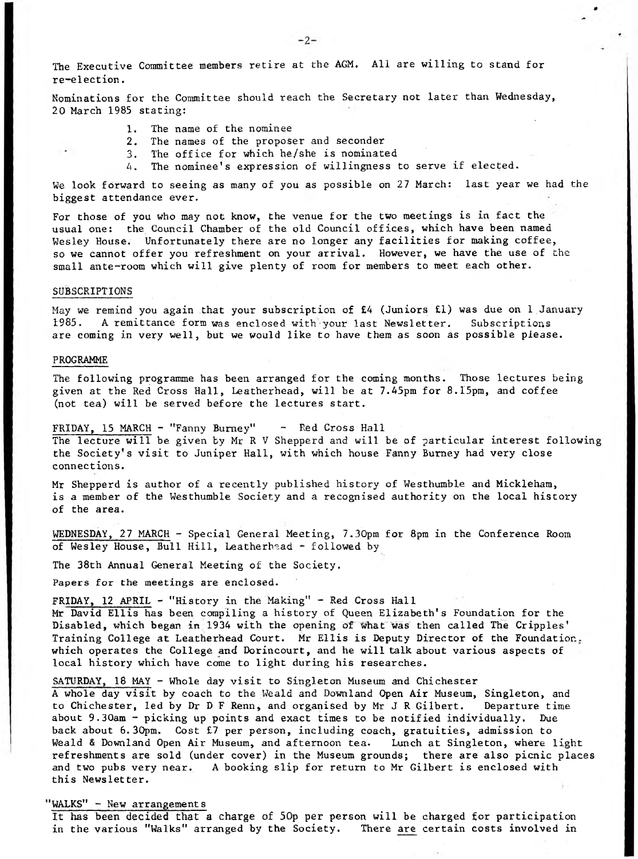The Executive Committee members retire at the AGM. All are willing to stand for re-election.

Nominations for the Committee should reach the Secretary not later than Wednesday, 2 0 March 1985 stating:

- 1. The name of the nominee
- 2. The names of the proposer and seconder
- 3. The office for which he/she is nominated
- 4. The nominee's expression of willingness to serve if elected.

We look forward to seeing as many of you as possible on 27 March: last year we had the biggest attendance ever.

For those of you who may not know, the venue for the two meetings is in fact the usual one: the Council Chamber of the old Council offices, which have been named Wesley House. Unfortunately there are no longer any facilities for making coffee, so we cannot offer you refreshment on your arrival. However, we have the use of the small ante-room which will give plenty of room for members to meet each other.

## SUBSCRIPTIONS

May we remind you again that your subscription of £4 (Juniors £1) was due on 1 January 1985. A remittance form was enclosed with your last Newsletter. Subscriptions are coming in very well, but we would like to have them as soon as possible please.

#### PROGRAMME

The following programme has been arranged for the coming months. Those lectures being given at the Red Cross Hall, Leatherhead, will be at 7.45pm for 8.15pm, and coffee (not tea) will be served before the lectures start.

FRIDAY, 15 MARCH - "Fanny Burney" - Red Cross Hall The lecture will be given by Mr R V Shepperd and will be of particular interest following the Society's visit to Juniper Hall, with which house Fanny Burney had very close connections.

Mr Shepperd is author of a recently published history of Westhumble and Mickleham, is a member of the Westhumble Society and a recognised authority on the local history of the area.

WEDNESDAY, 27 MARCH - Special General Meeting, 7.30pm for 8pm in the Conference Room of Wesley House, Bull Hill, Leatherhead - followed by

The 38th Annual General Meeting of the Society.

Papers for the meetings are enclosed.

FRIDAY, 12 APRIL - "History in the Making" - Red Cross Hall

Mr David Ellis has been compiling a history of Queen Elizabeth's Foundation for the Disabled, which began in 1934 with the opening of what was then called The Cripples' Training College at Leatherhead Court. Mr Ellis is Deputy Director of the Foundation, which operates the College and Dorincourt, and he will talk about various aspects of local history which have come to light during his researches.

SATURDAY, 18 MAY - Whole day visit to Singleton Museum and Chichester

A whole day visit by coach to the Weald and Downland Open Air Museum, Singleton, and to Chichester, led by Dr D F Renn, and organised by Mr J R Gilbert. Departure time about 9 .30am - picking up points and exact times to be notified individually. Due back about 6.30pm. Cost £7 per person, including coach, gratuities, admission to Weald & Downland Open Air Museum, and afternoon tea. Lunch at Singleton, where light refreshments are sold (under cover) in the Museum grounds; there are also picnic places and two pubs very near. A booking slip for return to Mr Gilbert is enclosed with this Newsletter.

## " $WALKS" - New arrangement s$

It has been decided that a charge of 50p per person will be charged for participation in the various "Walks" arranged by the Society. There are certain costs involved in

 $-2-$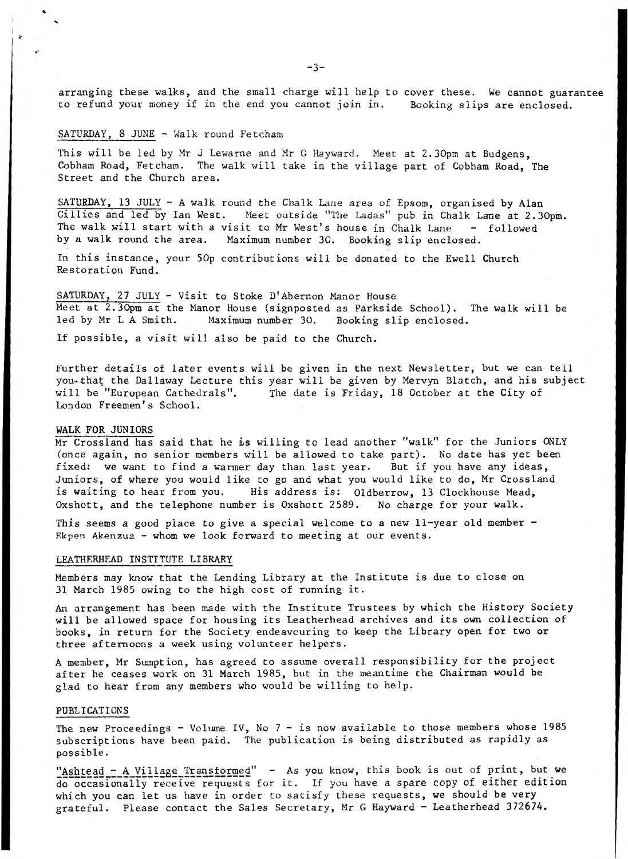arranging these walks, and the small charge will help to cover these. We cannot guarantee co refund your money if in the end you cannot join in. Booking slips are enclosed.

## SATURDAY, 8 JUNE - Walk round Fetcham

This will be led by Mr J Lewarne and Mr G Hayward. Meet at 2.30pm at Budgens, Cobham Road, Fetcham. The walk will take in the village part of Cobham Road, The Street and the Church area.

SATURDAY, 13 JULY - A walk round the Chalk Lane area of Epsom, organised by Alan Gillies and led by Ian West. Meet outside "The Ladas" pub in Chalk Lane at 2.30pm. The walk will start with a visit to Mr West's house in Chalk Lane - followed by a walk round the area. Maximum number 30. Booking slip enclosed. Maximum number 30. Booking slip enclosed.

In this instance, your 5Qp contributions will be donated to the Ewell Church Restoration Fund.

SATURDAY, 27 JULY - Visit to Stoke D'Abernon Manor House Meet at 2.30pm at the Manor House (signposted as Parkside School). The walk will be led by Mr L A Smith. Maximum number 30. Booking slip enclosed.

If possible, a visit will also be paid to the Church.

Further details of later events will be given in the next Newsletter, but we can tell you-that the Dallaway Lecture this year will be given by Mervyn Blatch, and his subject will be "European Cathedrals", The date is Friday, 18 October at the City of London Freemen's School.

#### WALK FOR JUNIORS

Mr Crossland has said that he is willing to lead another "walk" for the Juniors ONLY *(once* again, no senior members will be allowed to take part). No date has yet been fixed: we want to find a warmer day than last year. But if you have any ideas, Juniors, of where you would like to go and what you would like to do, Mr Crossland is waiting to hear from you. His address is: Oldberrow, 13 Clockhouse Mead, Oxshott, and the telephone number is Oxshott 2589. No charge for your walk.

This seems a good place to give a special welcome to a new ll-year old member -Ekpen A k enzua - whom we look forward to meeting at our events.

#### LEATHERHEAD INSTITUTE LIBRARY

Members may know that the Lending Library at the Institute is due to close on 31 March 1985 owing to the high cost of running it.

An arrangement has been made with the Institute Trustees by which the History Society will be allowed space for housing its Leatherhead archives and its own collection of books, in return for the Society endeavouring to keep the Library open for two or three afternoons a week using volunteer helpers.

A member, Mr Sumption, has agreed to assume overall responsibility for the project after he ceases work on 31 March 1985, but in the meantime the Chairman would be glad to hear from any members who would be willing to help.

#### PUBLICATIONS

The new Proceedings - Volume IV, No 7 - is now available to those members whose 1985 subscriptions have been paid. The publication is being distributed as rapidly as possible.

"Ashtead - A Village Transformed" - As you know, this book is out of print, but we do occasionally receive requests for it. If you have a spare copy of either edition which you can let us have in order to satisfy these requests, we should be very grateful. Please contact the Sales Secretary, Mr G Hayward - Leatherhead 372674.

 $-3-$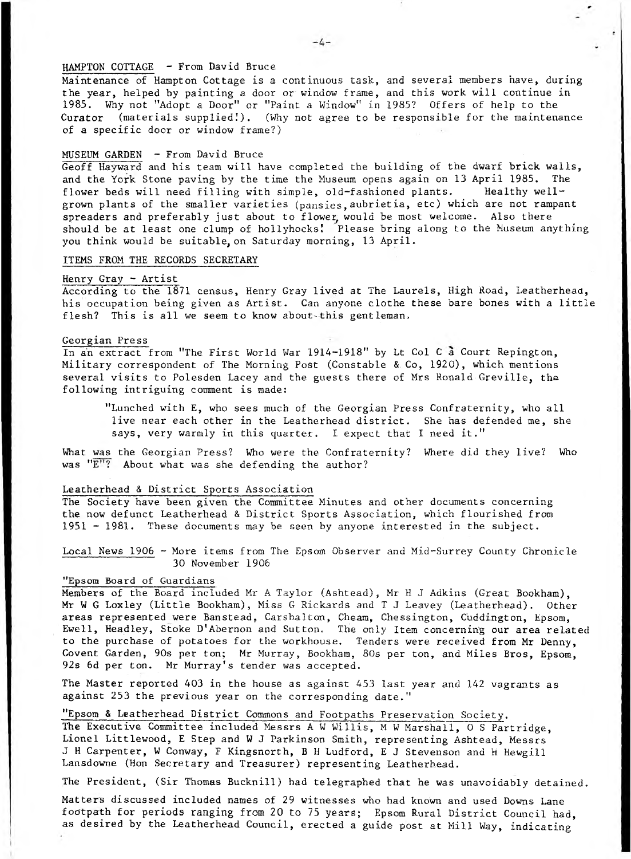## HAMPTON COTTAGE - From David Bruce

Maintenance of Hampton Cottage is a continuous task, and several members have, during the year, helped by painting a door or window frame, and this work will continue in 1985. Why not "Adopt a Door" or "Paint a Window" in 1985? Offers of help to the Curator (materials supplied.). (Why not agree to be responsible for the maintenance of a specific door or window frame?)

#### MUSEUM GARDEN  $-$  From David Bruce

Geoff Hayward and his team will have completed the building of the dwarf brick walls, and the York Stone paving by the time the Museum opens again on 13 April 1985. The flower beds will need filling with simple, old-fashioned plants. Healthy wellgrown plants of the smaller varieties (pansies, aubrietia, etc) which are not rampant spreaders and preferably just about to flower, would be most welcome. Also there should be at least one clump of hollyhocks! Please bring along to the Museum anything you think would be suitable, on Saturday morning, 13 April.

#### ITEMS FROM THE RECORDS SECRETARY

## Henry Gray - Artist

According to the 1871 census, Henry Gray lived at The Laurels, High Road, Leatherhead, his occupation being given as Artist. Can anyone clothe these bare bones with a little flesh? This is all we seem to know about-this gentleman.

#### Georgian Press

In an extract from "The First World War 1914-1918" by Lt Col C a Court Repington, Military correspondent of The Morning Post (Constable & Co, 1920), which mentions several visits to Polesden Lacey and the guests there of Mrs Ronald Greville, the following intriguing comment is made:

"Lunched with E, who sees much of the Georgian Press Confraternity, who all live near each other in the Leatherhead district. She has defended me, she says, very warmly in this quarter. I expect that I need it."

What was the Georgian Press? Who were the Confraternity? Where did they live? Who was  $"E"$ ? About what was she defending the author?

#### Leatherhead & District Sports Association

The Society have been given the Committee Minutes and other documents concerning the now defunct Leatherhead & District Sports Association, which flourished from  $1951 - 1981$ . These documents may be seen by anyone interested in the subject.

Local News 1906 - More items from The Epsom Observer and Mid-Surrey County Chronicle 30 November 1906

#### "Epsom Board of Guardians

Members of the Board included Mr A Taylor (Ashtead), Mr H J Adkins (Great Bookham), Mr W G Loxley (Little Bookham), Miss G Rickards and T J Leavey (Leatherhead). Other areas represented were Banstead, Carshalton, Cheam, Chessington, Cuddington, Epsom, Ewell, Headley, Stoke D'Abernon and Sutton. The only Item concerning our area related to the purchase of potatoes for the workhouse. Tenders were received from Mr Denny, Covent Garden, 90s per ton; Mr Murray, Bookham, 80s per ton, and Miles Bros, Epsom, 92s 6d per ton. Mr Murray's tender was accepted.

The Master reported 403 in the house as against 453 last year and 142 vagrants as against 253 the previous year on the corresponding date."

## "Epsom & Leatherhead District Commons and Footpaths Preservation Society.

The Executive Committee included Messrs A W Willis, M W Marshall, 0 S Partridge, Lionel Littlewood, E Step and W J Parkinson Smith, representing Ashtead, Messrs J H Carpenter, W Conway, F Kingsnorth, B H Ludford, E J Stevenson and H Hewgill Lansdowne (Hon Secretary and Treasurer) representing Leatherhead.

The President, (Sir Thomas Bucknill) had telegraphed that he was unavoidably detained.

Matters discussed included names of 29 witnesses who had known and used Downs Lane footpath for periods ranging from 20 to 75 years; Epsom Rural District Council had, as desired by the Leatherhead Council, erected a guide post at Mill Way, indicating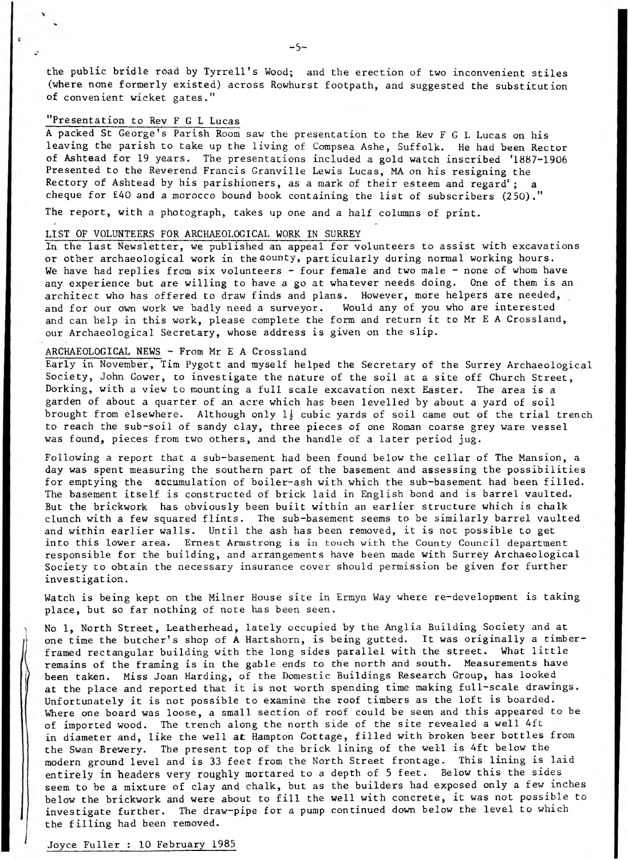the public bridle road by Tyrrell's Wood; and the erection of two inconvenient stiles (where none formerly existed) across Rowhurst footpath, and suggested the substitution of convenient wicket gates."

## "Presentation to Rev F G L Lucas

A packed St George's Parish Room saw the presentation to the Rev F G L Lucas on his leaving the parish to take up the living of Compsea Ashe, Suffolk. He had been Rector of Ashtead for 19 years. The presentations included a gold watch inscribed '1887-1906 Presented to the Reverend Francis Granville Lewis Lucas, MA on his resigning the Rectory of Ashtead by his parishioners, as a mark of their esteem and regard'; a cheque for  $£40$  and a morocco bound book containing the list of subscribers (250)."

The report, with a photograph, takes up one and a half columns of print.

#### LIST OF VOLUNTEERS FOR ARCHAEOLOGICAL WORK IN SURREY

In the last Newsletter, we published an appeal for volunteers to assist with excavations or other archaeological work in the county, particularly during normal working hours. We have had replies from six volunteers - four female and two male - none of whom have any experience but are willing to have a go at whatever needs doing. One of them is an architect who has offered to draw finds and plans. However, more helpers are needed, and for our own work we badly need a surveyor. Would any of you who are interested and can help in this work, please complete the form and return it to Mr E A Crossland, our Archaeological Secretary, whose address is given on the slip.

#### ARCHAEOLOGICAL NEWS - From Mr E A Crossland

Early in November, Tim Pygott and myself helped the Secretary of the Surrey Archaeological Society, John Gower, to investigate the nature of the soil at a site off Church Street, Dorking, with a view to mounting a full scale excavation next Easter. The area is a garden of about a quarter of an acre which has been levelled by about a yard of soil brought from elsewhere. Although only  $1\frac{1}{2}$  cubic yards of soil came out of the trial trench to reach the sub-soil of sandy clay, three pieces of one Roman coarse grey ware vessel was found, pieces from two others, and the handle of a later period jug.

Following a report that a sub-basement had been found below the cellar of The Mansion, a day was spent measuring the southern part of the basement and assessing the possibilities for emptying the accumulation of boiler-ash with which the sub-basement had been filled. The basement itself is constructed of brick laid in English bond and is barrel vaulted. But the brickwork has obviously been built within an earlier structure which is chalk clunch with a few squared flints. The sub-basement seems to be similarly barrel vaulted and within earlier walls. Until the ash has been removed, it is not possible to get into this lower area. Ernest Armstrong is in touch with the County Council department responsible for the building, and arrangements have been made with Surrey Archaeological Society to obtain the necessary insurance cover should permission be given for further investigation.

Watch is being kept on the Milner House site in Ermyn Way where re-development is taking place, but so far nothing of note has been seen.

No 1, North Street, Leatherhead, lately occupied by the Anglia Building Society and at one time the butcher's shop of A Hartshorn, is being gutted. It was originally a timberframed rectangular building with the long sides parallel with the street. What little remains of the framing is in the gable ends to the north and south. Measurements have been taken. Miss Joan Harding, of the Domestic Buildings Research Group, has looked at the place and reported that it is not worth spending time making full-scale drawings. Unfortunately it is not possible to examine the roof timbers as the loft is boarded. Where one board was loose, a small section of roof could be seen and this appeared to be of imported wood. The trench along the north side of the site revealed a well 4ft in diameter and, like the well at Hampton Cottage, filled with broken beer bottles from the Swan Brewery. The present top of the brick lining of the well is 4ft below the modern ground level and is 33 feet from the North Street frontage. This lining is laid entirely in headers very roughly mortared to a depth of 5 feet. Below this the sides seem to be a mixture of clay and chalk, but as the builders had exposed only a few inches below the brickwork and were about to fill the well with concrete, it was not possible to investigate further. The draw-pipe for a pump continued down below the level to which the filling had been removed.

#### Joyce Fuller : 10 February 1985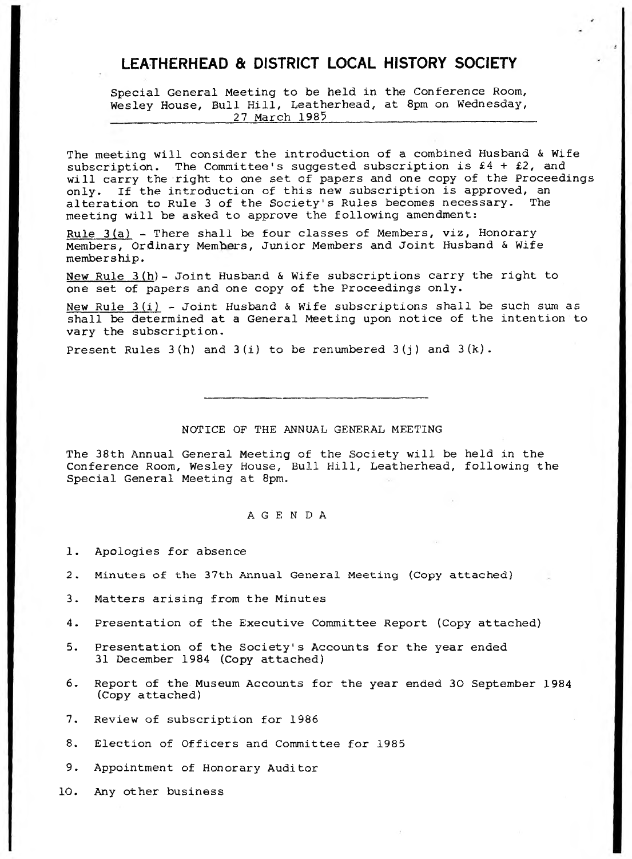# **LEATHERHEAD & DISTRICT LOCAL HISTORY SOCIETY**

Special General Meeting to be held in the Conference Room, Wesley House, Bull Hill, Leatherhead, at 8pm on Wednesday, 27 March 1985

The meeting will consider the introduction of a combined Husband & Wife subscription. The Committee's suggested subscription is  $f4 + f2$ , and will carry the right to one set of papers and one copy of the Proceedings only. If the introduction of this new subscription is approved, an alteration to Rule 3 of the Society's Rules becomes necessary. The meeting will be asked to approve the following amendment:

Rule  $3(a)$  - There shall be four classes of Members, viz, Honorary Members, Ordinary Members, Junior Members and Joint Husband & Wife m embership.

New Rule 3 (h) - Joint Husband & Wife subscriptions carry the right to one set of papers and one copy of the Proceedings only.

New Rule  $3(i)$  - Joint Husband & Wife subscriptions shall be such sum as shall be determined at a General Meeting upon notice of the intention to vary the subscription.

Present Rules  $3(h)$  and  $3(i)$  to be renumbered  $3(j)$  and  $3(k)$ .

#### NOTICE OF THE ANNUAL GENERAL MEETING

The 38th Annual General Meeting of the Society will be held in the Conference Room, Wesley House, Bull Hill, Leatherhead, following the Special General Meeting at 8pm.

#### AGENDA

1. Apologies for absence

- **2. Minutes of the 37th Annual General Meeting (Copy attached)**
- 3. Matters arising from the Minutes
- 4. Presentation of the Executive Committee Report (Copy attached)
- 5. Presentation of the Society's Accounts for the year ended 31 December 1984 (Copy attached)
- 6. Report of the Museum Accounts for the year ended 30 September 1984  $(Copy$  attached)
- 7. Review of subscription for 1986
- 8. Election of Officers and Committee for 1985
- 9. Appointment of Honorary Auditor
- 10. Any other business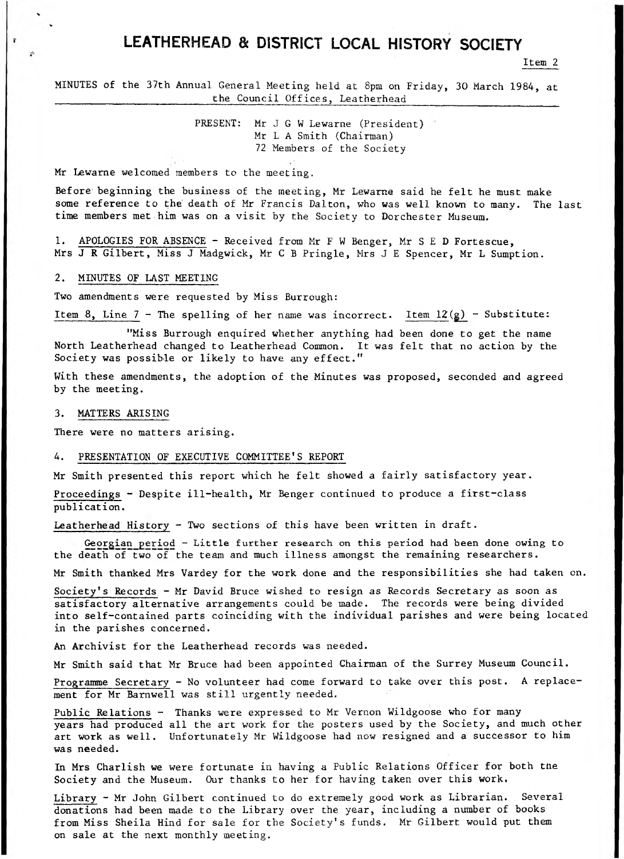# **LEATHERHEAD & DISTRICT LOCAL HISTORY SOCIETY**

Item 2

MINUTES of the 37th Annual General Meeting held at 8pm on Friday, 30 March 1984, at the Council Offices, Leatherhead

> PRESENT: Mr J G W Lewarne (President) Mr L A Smith (Chairman) 72 Members of the Society

Mr Lewarne welcomed members to the meeting,

Before beginning the business of the meeting, Mr Lewarne said he felt he must make some reference to the' death of Mr Francis Dalton, who was well known to many. The last time members met him was on a visit by the Society to Dorchester Museum.

1. APOLOGIES FOR ABSENCE - Received from Mr F W Benger, Mr S E D Fortescue, Mrs J R Gilbert, Miss J Madgwick, Mr C B Pringle, Mrs J E Spencer, Mr L Sumption.

#### 2. MINUTES OF LAST MEETING

ŗ

Two amendments were requested by Miss Burrough:

Item 8, Line 7 - The spelling of her name was incorrect. Item  $12(g)$  - Substitute:

"Miss Burrough enquired whether anything had been done to get the name North Leatherhead changed to Leatherhead Common. It was felt that no action by the Society was possible or likely to have any effect."

With these amendments, the adoption of the Minutes was proposed, seconded and agreed by the meeting.

#### 3. MATTERS ARISING

There were no matters arising.

#### 4. PRESENTATION OF EXECUTIVE COMMITTEE'S REPORT

Mr Smith presented this report which he felt showed a fairly satisfactory year.

Proceedings - Despite ill-health, Mr Benger continued to produce a first-class publication.

Leatherhead History - Two sections of this have been written in draft.

Georgian period - Little further research on this period had been done owing to the death of two of the team and much illness amongst the remaining researchers.

Mr Smith thanked Mrs Vardey for the work done and the responsibilities she had taken on.

Society's Records - Mr David Bruce wished to resign as Records Secretary as soon as satisfactory alternative arrangements could be made. The records were being divided into self-contained parts coinciding with the individual parishes and were being located in the parishes concerned.

An Archivist for the Leatherhead records was needed.

Mr Smith said that Mr Bruce had been appointed Chairman of the Surrey Museum Council.

Programme Secretary - No volunteer had come forward to take over this post. A replacement for Mr Barnwell was still urgently needed.

Public Relations - Thanks were expressed to Mr Vernon Wildgoose who for many years had produced all the art work for the posters used by the Society, and much other art work as well. Unfortunately Mr Wildgoose had now resigned and a successor to him was needed.

In Mrs Charlish we were fortunate in having a Public Relations Officer for both tne Society and the Museum. Our thanks to her for having taken over this work.

Library - Mr John Gilbert continued to do extremely good work as Librarian. Several donations had been made to the Library over the year, including a number of books from Miss Sheila Hind for sale for the Society's funds. Mr Gilbert would put them on sale at the next monthly meeting.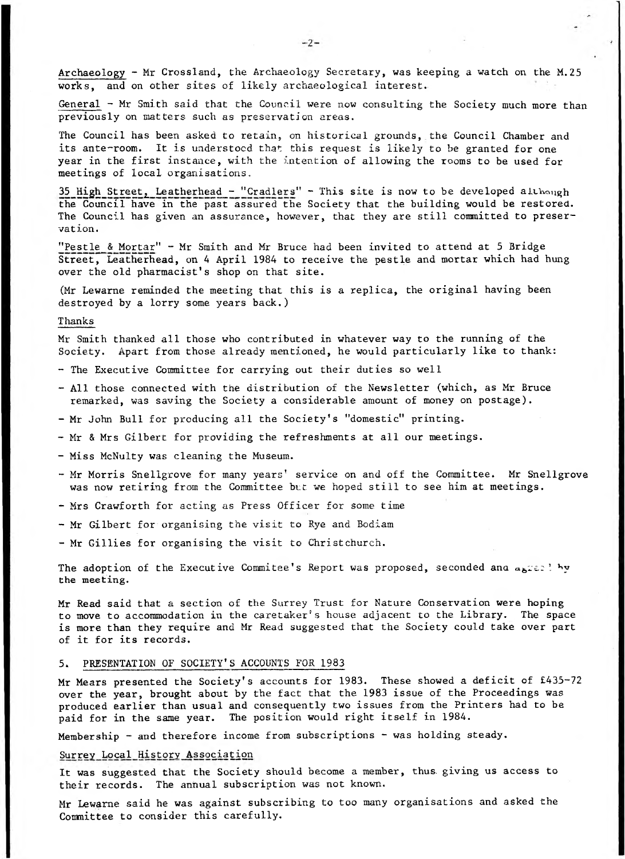Archaeology - Mr Crossland, the Archaeology Secretary, was keeping a watch on the M.25 works, and on other sites of likely archaeological interest.

General - Mr Smith said that the Council were now consulting the Society much more than previously on matters such as preservation areas.

The Council has been asked to retain, on historical grounds, the Council Chamber and its ante-room. It is understood that this request is likely to be granted for one year in the first instance, with the intention of allowing the rooms to be used for meetings of local organisations.

35 High Street, Leatherhead - "Cradlers" - This site is now to be developed although the Council have in the past assured the Society that the building would be restored. The Council has given an assurance, however, that they are still committed to preservation.

"Pestle & Mortar" - Mr Smith and Mr Bruce had been invited to attend at 5 Bridge Street, Leatherhead, on 4 April 1984 to receive the pestle and mortar which had hung over the old pharmacist's shop on that site.

(Mr Lewarne reminded the meeting that this is a replica, the original having been destroyed by a lorry some years back.)

#### Thanks

Mr Smith thanked all those who contributed in whatever way to the running of the Society. Apart from those already mentioned, he would particularly like to thank:

- The Executive Committee for carrying out their duties so well
- All those connected with the distribution of the Newsletter (which, as Mr Bruce remarked, was saving the Society a considerable amount of money on postage).
- Mr John Bull for producing all the Society's "domestic" printing.
- Mr & Mrs Gilbert for providing the refreshments at all our meetings.
- Miss McNulty was cleaning the Museum.
- Mr Morris Snellgrove for many years' service on and off the Committee. Mr Snellgrove was now retiring from the Committee but we hoped still to see him at meetings.
- Mrs Crawforth for acting as Press Officer for some time
- Mr Gilbert for organising the visit to Rye and Bodiam
- Mr Gillies for organising the visit to Christchurch.

The adoption of the Executive Commitee's Report was proposed, seconded and abree! by the meeting.

Mr Read said that a section of the Surrey Trust for Nature Conservation were hoping to move to accommodation in the caretaker's house adjacent to the Library. The space is more than they require and Mr Read suggested that the Society could take over part of it for its records.

#### 5. PRESENTATION OF SOCIETY'S ACCOUNTS FOR 1983

Mr Mears presented the Society's accounts for 1983. These showed a deficit of £435-72 over the year, brought about by the fact that the 1983 issue of the Proceedings was produced earlier than usual and consequently two issues from the Printers had to be paid for in the same year. The position would right itself in 1984.

Membership - and therefore income from subscriptions - was holding steady.

#### Surrey Local History Association

It was suggested that the Society should become a member, thus, giving us access to their records. The annual subscription was not known.

Mr Lewarne said he was against subscribing to too many organisations and asked the Committee to consider this carefully.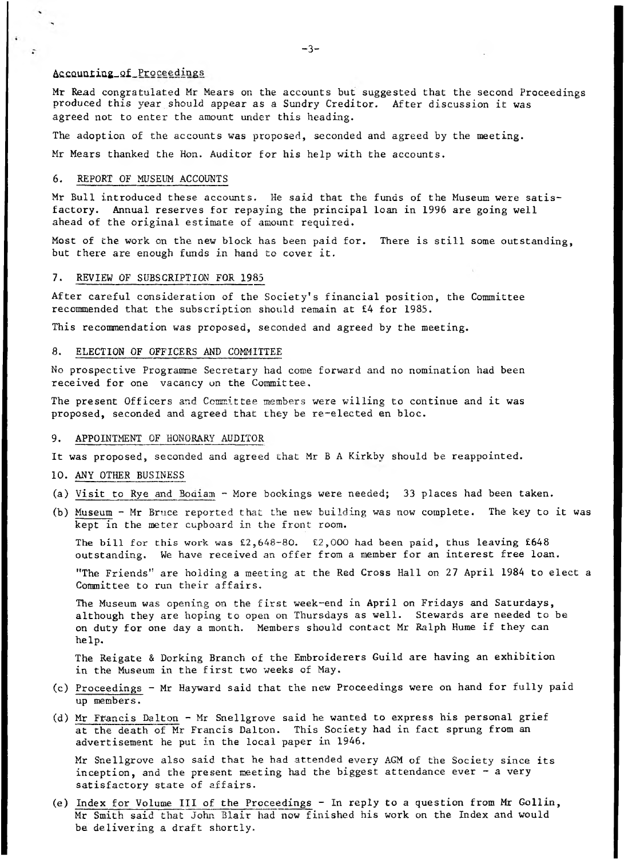### Accounting of Proceedings

Mr Read congratulated Mr Mears on the accounts but suggested that the second Proceedings produced this year should appear as a Sundry Creditor. After discussion it was agreed not to enter the amount under this heading.

The adoption of the accounts was proposed, seconded and agreed by the meeting.

Mr Mears thanked the Hon. Auditor for his help with the accounts.

## 6. REPORT OF MUSEUM ACCOUNTS

Mr Bull introduced these accounts. He said that the funds of the Museum were satisfactory. Annual reserves for repaying the principal loan in 1996 are going well ahead of the original estimate of amount required.

Most of the work on the new block has been paid for. There is still some outstanding, but there are enough funds in hand to cover it.

#### 7. REVIEW OF SUBSCRIPTION FOR 1985

After careful consideration of the Society's financial position, the Committee recommended that the subscription should remain at £4 for 1985.

This recommendation was proposed, seconded and agreed by the meeting.

#### 8. ELECTION OF OFFICERS AND COMMITTEE

No prospective Programme Secretary had come forward and no nomination had been received for one vacancy on the Committee.

The present Officers and Committee members were willing to continue and it was proposed, seconded and agreed that they be re-elected en bloc.

#### 9. APPOINTMENT OF HONORARY AUDITOR

It was proposed, seconded and agreed that Mr B A Kirkby should be reappointed.

- 10. ANY OTHER BUSINESS
- (a) Visit to Rye and Boaiam More bookings were needed; 33 places had been taken.
- (b) Museum Mr Bruce reported that the new building was now complete. The key to it was kept in the meter cupboard in the front room.

The bill for this work was  $\text{\pounds}2,648-80$ .  $\text{\pounds}2,000$  had been paid, thus leaving  $\text{\pounds}648$ outstanding. We have received an offer from a member for an interest free loan.

"The Friends" are holding a meeting at the Red Cross Hall on 27 April 1984 to elect a Committee to run their affairs.

The Museum was opening on the first week-end in April on Fridays and Saturdays, although they are hoping to open on Thursdays as well. Stewards are needed to be on duty for one day a month. Members should contact Mr Ralph Hume if they can help.

The Reigate & Dorking Branch of the Embroiderers Guild are having an exhibition in the Museum in the first two weeks of May.

- (c) Proceedings Mr Hayward said that the new Proceedings were on hand for fully paid up members.
- (d) Mr Francis Dalton Mr Snellgrove said he wanted to express his personal grief at the death of Mr Francis Dalton. This Society had in fact sprung from an advertisement he put in the local paper in 1946.

Mr Snellgrove also said that he had attended every AGM of the Society since its inception, and the present meeting had the biggest attendance ever  $-$  a very satisfactory state of affairs.

(e) Index for Volume III of the Proceedings - In reply to a question from Mr Gollin, Mr Smith said that John Blair had now finished his work on the Index and would be delivering a draft shortly.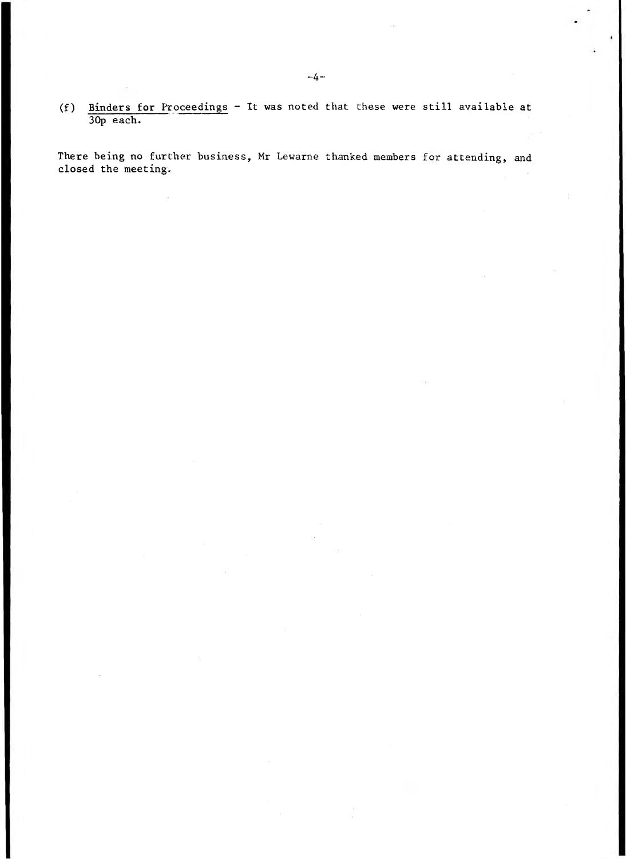(f) Binders for Proceedings - It was noted that these were still available at 30p each.

There being no further business, Mr Lewarne thanked members for attending, and closed the meeting.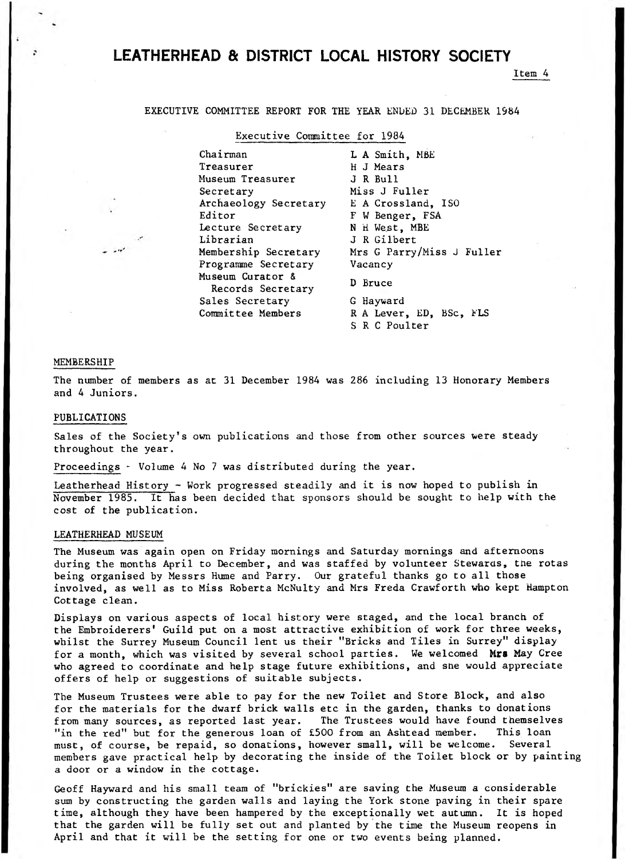## LEATHERHEAD & DISTRICT LOCAL HISTORY SOCIETY

Item 4

## EXECUTIVE COMMITTEE REPORT FOR THE YEAR ENDED 31 DECEMBER 1984

Executive Committee for 1984

Chairman Treasurer Museum Treasurer Secretary Archaeology Secretary Editor Lecture Secretary Librarian Membership Secretary Programme Secretary Museum Curator & L A Smith, MBE H J Hears J R Bull Miss J Fuller E A Crossland, ISO F W Benger, FSA N H West, MBE J R Gilbert Mrs G Parry/Miss J Fuller Vacancy Bruce Records Secretary D Bruce Sales Secretary Committee Members G Hayward R A Lever, ED, BSc, FLS S R C Poulter

#### MEMBERSHIP

The number of members as at 31 December 1984 was 286 including 13 Honorary Members and 4 Juniors.

#### PUBLICATIONS

Sales of the Society's own publications and those from other sources were steady throughout the year.

Proceedings - Volume 4 No 7 was distributed during the year.

Leatherhead History  $\sim$  Work progressed steadily and it is now hoped to publish in November 1985. It has been decided that sponsors should be sought to help with the cost of the publication.

#### LEATHERHEAD MUSEUM

The Museum was again open on Friday mornings and Saturday mornings and afternoons during the months April to December, and was staffed by volunteer Stewards, the rotas being organised by Messrs Hume and Parry. Our grateful thanks go to all those involved, as well as to Miss Roberta McNulty and Mrs Freda Crawforth who kept Hampton Cottage clean.

Displays on various aspects of local history were staged, and the local branch of the Embroiderers' Guild put on a most attractive exhibition of work for three weeks, whilst the Surrey Museum Council lent us their "Bricks and Tiles in Surrey" display for a month, which was visited by several school parties. We welcomed Mrs May Cree who agreed to coordinate and help stage future exhibitions, and sne would appreciate offers of help or suggestions of suitable subjects.

The Museum Trustees were able to pay for the new Toilet and Store Block, and also for the materials for the dwarf brick walls etc in the garden, thanks to donations from many sources, as reported last year. The Trustees would have found themselves "in the red" but for the generous loan of £500 from an Ashtead member. This loan must, of course, be repaid, so donations, however small, will be welcome. Several members gave practical help by decorating the inside of the Toilet block or by painting a door or a window in the cottage.

Geoff Hayward and his small team of "brickies" are saving the Museum a considerable sum by constructing the garden walls and laying the York stone paving in their spare time, although they have been hampered by the exceptionally wet autumn. It is hoped that the garden will be fully set out and planted by the time the Museum reopens in April and that it will be the setting for one or two events being planned.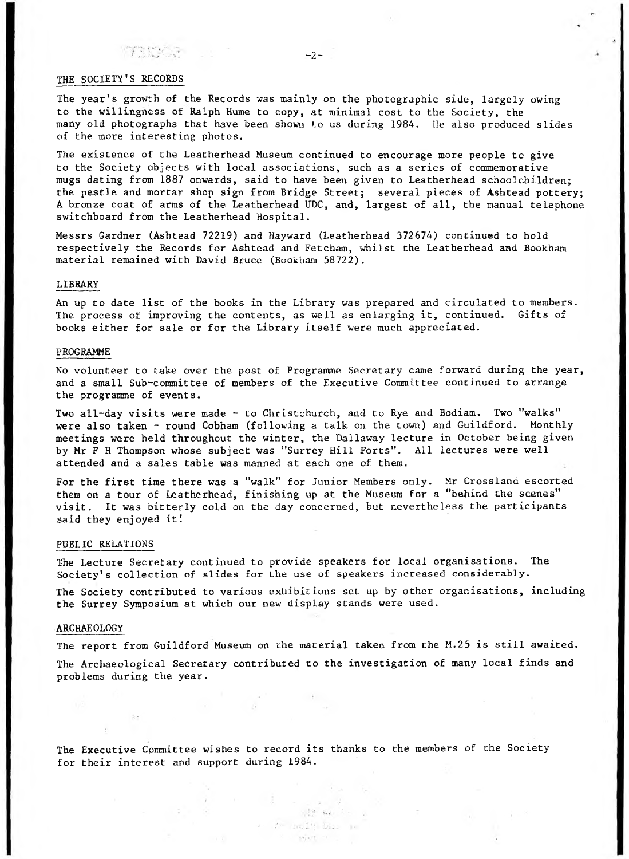## THE SOCIETY'S RECORDS

The year's growth of the Records was mainly on the photographic side, largely owing to the willingness of Ralph Hume to copy, at minimal cost to the Society, the many old photographs that have been shown to us during 1984. He also produced slides of the more interesting photos.

The existence of the Leatherhead Museum continued to encourage more people to give to the Society objects with local associations, such as a series of commemorative mugs dating from 1887 onwards, said to have been given to Leatherhead schoolchildren; the pestle and mortar shop sign from Bridge Street; several pieces of Ashtead pottery; A bronze coat of arms of the Leatherhead UDC, and, largest of all, the manual telephone switchboard from the Leatherhead Hospital.

Messrs Gardner (Ashtead 72219) and Hayward (Leatherhead 372674) continued to hold respectively the Records for Ashtead and Fetcham, whilst the Leatherhead and Bookham material remained with David Bruce (Bookham 58722).

#### LIBRARY

An up to date list of the books in the Library was prepared and circulated to members. The process of improving the contents, as well as enlarging it, continued. Gifts of books either for sale or for the Library itself were much appreciated.

#### PROGRAMME

No volunteer to take over the post of Programme Secretary came forward during the year, and a small Sub-committee of members of the Executive Committee continued to arrange the programme of events.

Two all-day visits were made - to Christchurch, and to Rye and Bodiam. Two "walks" were also taken - round Cobham (following a talk on the town) and Guildford. Monthly meetings were held throughout the winter, the Dallaway lecture in October being given by Mr F H Thompson whose subject was "Surrey Hill Forts". All lectures were well attended and a sales table was manned at each one of them.

For the first time there was a "walk" for Junior Members only. Mr Crossland escorted them on a tour of Leatherhead, finishing up at the Museum for a "behind the scenes" visit. It was bitterly cold on the day concerned, but nevertheless the participants said they enjoyed it!

#### PUBLIC RELATIONS

The Lecture Secretary continued to provide speakers for local organisations. The Society's collection of slides for the use of speakers increased considerably.

The Society contributed to various exhibitions set up by other organisations, including the Surrey Symposium at which our new display stands were used.

#### ARCHAEOLOGY

 $\geq$   $<$ 

The report from Guildford Museum on the material taken from the M.25 is still awaited.

The Archaeological Secretary contributed to the investigation of many local finds and problems during the year.

The Executive Committee wishes to record its thanks to the members of the Society for their interest and support during 1984.

> $\lambda = \lambda^{\rm th} - 200 \, \frac{\pi}{6} \, \Omega_{\rm F}^2 - 2011 \, \ldots \, \Omega_{\rm F}$ See Hart The

外装 轻 人口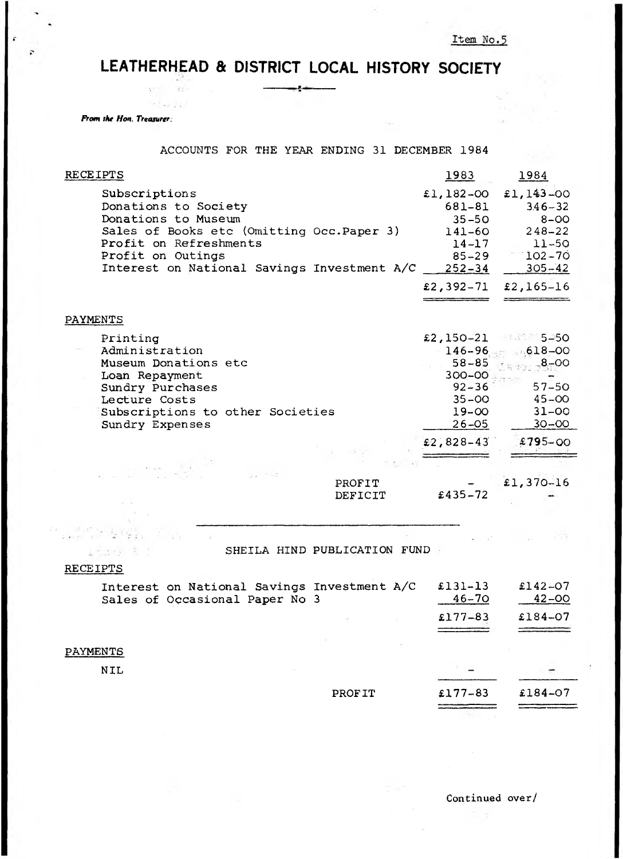$\hat{\tau}_\mu$ 

o V

**LEATHERHEAD & DISTRICT LOCAL HISTORY SOCIETY**  $\mathbf{z}$ 

*From the Hon. Treasurer:*

 $\mathbf{q} \in \mathbb{R}^d$ 

 $-22.1$ 

 $2.5\times 10^4$ 

ACCOUNTS FOR THE YEAR ENDING 31 DECEMBER 1984

| <b>RECEIPTS</b>                             | 1983        | 1984        |
|---------------------------------------------|-------------|-------------|
| Subscriptions                               | $£1,182-00$ | $£1,143-00$ |
| Donations to Society                        | 681-81      | $3.46 - 32$ |
| Donations to Museum                         | $35 - 50$   | $8 - 00$    |
| Sales of Books etc (Omitting Occ. Paper 3)  | $141 - 60$  | $248 - 22$  |
| Profit on Refreshments                      | $14 - 17$   | $11 - 50$   |
| Profit on Outings                           | $85 - 29$   | $102 - 70$  |
| Interest on National Savings Investment A/C | $252 - 34$  | $305 - 42$  |
|                                             | £2,392-71   | $£2,165-16$ |
| PAYMENTS                                    |             |             |
| Printing                                    | $£2,150-21$ | $5 - 50$    |
| Administration                              | 146-96      | 618-00      |
| Museum Donations etc                        | $58 - 85$   | $8 - O$     |
| Loan Repayment                              | $300 - 00$  |             |
| Sundry Purchases                            | $92 - 36$   | $57 - 50$   |
| Lecture Costs                               | $35 - 00$   | $45 - 00$   |
| Subscriptions to other Societies            | $19 - 00$   | $31 - 00$   |
| Sundry Expenses                             | $26 - 05$   | $30 - 00$   |
|                                             | £2,828-43   | $$795-00$   |
|                                             |             |             |
|                                             |             |             |
| PROFIT                                      |             | $£1,370-16$ |
| DEFICIT                                     | $£435 - 72$ |             |
|                                             |             |             |
|                                             |             |             |
|                                             |             |             |
| SHEILA HIND PUBLICATION FUND                |             |             |
| RECEIPTS                                    |             |             |
| Interest on National Savings Investment A/C | $£131 - 13$ | £142-07     |
| Sales of Occasional Paper No 3              | $46 - 70$   | $42 - 00$   |
|                                             | $£177-83$   | £184-07     |
|                                             |             |             |
| PAYMENTS                                    |             |             |
|                                             |             |             |
| NIL                                         |             |             |
| PROFIT                                      | $£177-83$   | £184-07     |
|                                             |             |             |
|                                             |             |             |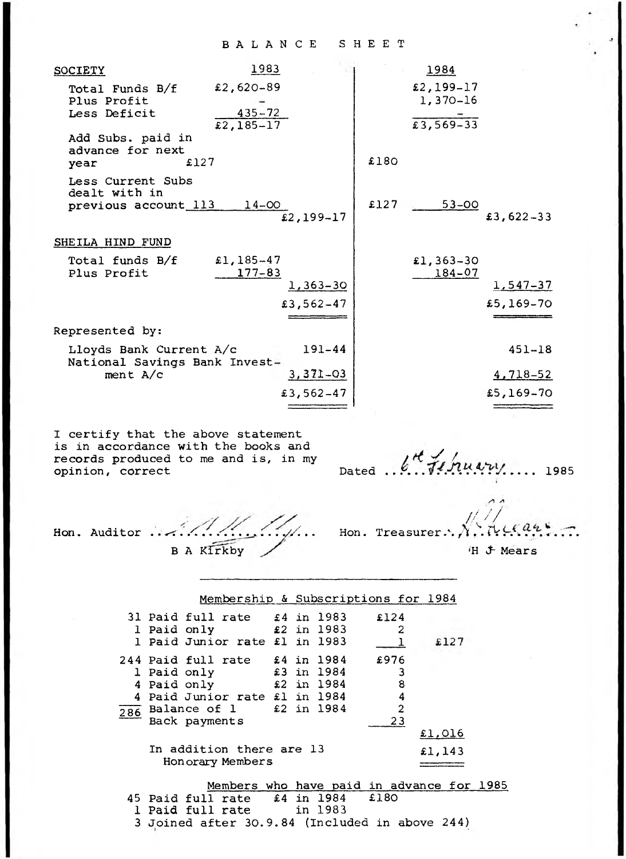BALANCE SHEET

| <b>SOCIETY</b>                                             | 1983                                    |      | 1984                         |              |
|------------------------------------------------------------|-----------------------------------------|------|------------------------------|--------------|
| Total Funds B/f<br>Plus Profit<br>Less Deficit             | £2,620-89<br>$435 - 72$                 |      | $£2, 199-17$<br>$1,370 - 16$ |              |
| Add Subs. paid in<br>advance for next<br>£127<br>year      | $£2,185-17$                             | £180 | £3,569-33                    |              |
| Less Current Subs<br>dealt with in<br>previous account 113 | $14 - 00$<br>$£2,199-17$                | £127 | $53 - 00$                    | £3,622-33    |
| SHEILA HIND FUND                                           |                                         |      |                              |              |
| Total funds B/f<br>Plus Profit                             | £1,185-47<br>$177 - 83$<br>$1,363 - 30$ |      | £1,363-30<br>184-07          | $1,547 - 37$ |
|                                                            | £3,562-47                               |      |                              | £5,169-70    |
| Represented by:                                            |                                         |      |                              |              |
| Lloyds Bank Current A/c                                    | $191 - 44$                              |      |                              | $451 - 18$   |
| National Savings Bank Invest-<br>ment $A/c$                | $3,371-03$                              |      |                              | 4,718-52     |
|                                                            | $£3,562-47$                             |      |                              | £5,169-70    |

I certify that the above statement is in accordance with the books and re cords produced to me and is, in my opinion, correct

*/ J* / *y* ... 1985

**Hon. Auditor . .** *■\*<'. A* **. - .< . . .** *. . / /* B A **Kirkby**

| Hon. Treasurer. $\overline{\lambda}$ . $\overline{\nu}$ . $\overline{\nu}$ . $\overline{\nu}$ |
|-----------------------------------------------------------------------------------------------|
|                                                                                               |

H *J* Mears

|    |             |               |                                                  |  | Membership & Subscriptions for 1984       |      |                |        |  |
|----|-------------|---------------|--------------------------------------------------|--|-------------------------------------------|------|----------------|--------|--|
|    |             |               | 31 Paid full rate $\pm 4$ in 1983                |  |                                           | £124 |                |        |  |
|    | 1 Paid only |               | $\epsilon$ 2 in 1983                             |  |                                           |      | 2              |        |  |
|    |             |               | 1 Paid Junior rate £1 in 1983                    |  |                                           |      | $\mathbf{I}$   | £127   |  |
|    |             |               |                                                  |  | 244 Paid full rate f4 in 1984             | £976 |                |        |  |
|    | 1 Paid only |               |                                                  |  | £3 in 1984                                |      | 3              |        |  |
|    | 4 Paid only |               |                                                  |  | $$2 \text{ in } 1984$                     |      | 8              |        |  |
|    |             |               | 4 Paid Junior rate £1 in 1984                    |  |                                           |      | 4              |        |  |
|    |             |               | $\frac{1}{286}$ Balance of 1 $\qquad$ £2 in 1984 |  |                                           |      | $\overline{2}$ |        |  |
|    |             | Back payments |                                                  |  |                                           | 23   |                |        |  |
|    |             |               |                                                  |  |                                           |      |                | £1,016 |  |
|    |             |               | In addition there are 13                         |  |                                           |      |                | £1,143 |  |
|    |             |               | Honorary Members                                 |  |                                           |      |                |        |  |
|    |             |               |                                                  |  | Members who have paid in advance for 1985 |      |                |        |  |
|    |             |               |                                                  |  | 45 Paid full rate f4 in 1984              | £180 |                |        |  |
| 1. |             |               | Paid full rate                                   |  | in 1983                                   |      |                |        |  |
|    |             |               |                                                  |  |                                           |      |                |        |  |

3 Joined after 30.9.84 (Included in above 244)